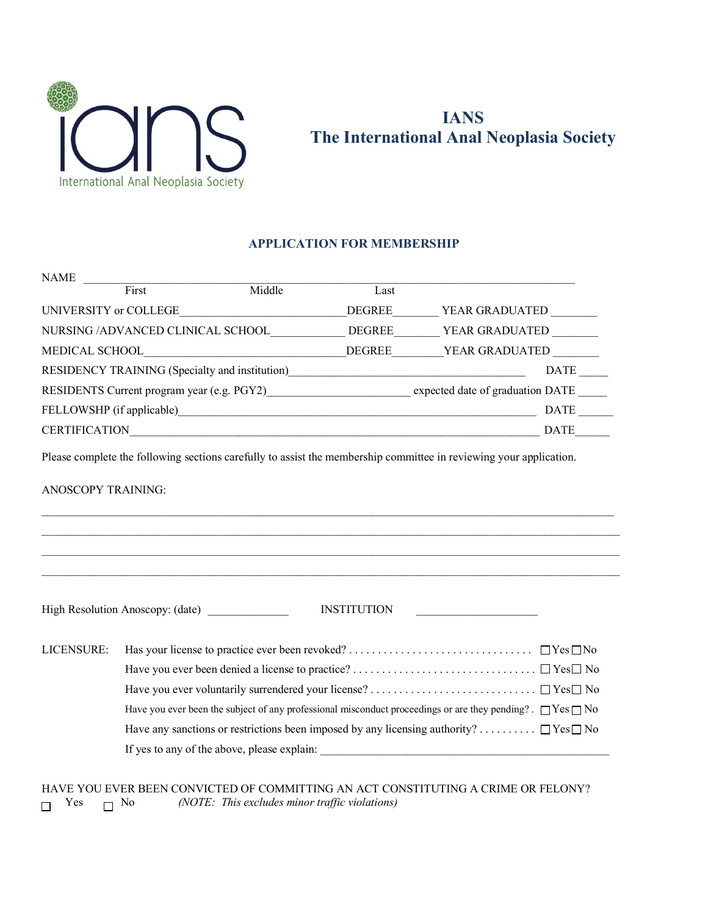

## **IANS The International Anal Neoplasia Society**

## **APPLICATION FOR MEMBERSHIP**

| <b>NAME</b>                       |                                                       |                                            |               |                                                                                                                    |  |
|-----------------------------------|-------------------------------------------------------|--------------------------------------------|---------------|--------------------------------------------------------------------------------------------------------------------|--|
|                                   | First                                                 | Middle                                     | Last          |                                                                                                                    |  |
| UNIVERSITY or COLLEGE             |                                                       |                                            | <b>DEGREE</b> | YEAR GRADUATED                                                                                                     |  |
| NURSING /ADVANCED CLINICAL SCHOOL |                                                       |                                            | DEGREE        | YEAR GRADUATED                                                                                                     |  |
|                                   | MEDICAL SCHOOL                                        |                                            | DEGREE        | YEAR GRADUATED                                                                                                     |  |
|                                   | <b>RESIDENCY TRAINING</b> (Specialty and institution) |                                            |               | DATE                                                                                                               |  |
|                                   |                                                       | RESIDENTS Current program year (e.g. PGY2) |               | expected date of graduation DATE                                                                                   |  |
|                                   | FELLOWSHP (if applicable)                             |                                            |               | <b>DATE</b>                                                                                                        |  |
| <b>CERTIFICATION</b>              |                                                       |                                            |               | DATE                                                                                                               |  |
|                                   |                                                       |                                            |               | Please complete the following sections carefully to assist the membership committee in reviewing your application. |  |

 $\mathcal{L}_\mathcal{L} = \{ \mathcal{L}_\mathcal{L} = \{ \mathcal{L}_\mathcal{L} = \{ \mathcal{L}_\mathcal{L} = \{ \mathcal{L}_\mathcal{L} = \{ \mathcal{L}_\mathcal{L} = \{ \mathcal{L}_\mathcal{L} = \{ \mathcal{L}_\mathcal{L} = \{ \mathcal{L}_\mathcal{L} = \{ \mathcal{L}_\mathcal{L} = \{ \mathcal{L}_\mathcal{L} = \{ \mathcal{L}_\mathcal{L} = \{ \mathcal{L}_\mathcal{L} = \{ \mathcal{L}_\mathcal{L} = \{ \mathcal{L}_\mathcal{$ 

 $\mathcal{L}_\mathcal{L} = \{ \mathcal{L}_\mathcal{L} = \{ \mathcal{L}_\mathcal{L} = \{ \mathcal{L}_\mathcal{L} = \{ \mathcal{L}_\mathcal{L} = \{ \mathcal{L}_\mathcal{L} = \{ \mathcal{L}_\mathcal{L} = \{ \mathcal{L}_\mathcal{L} = \{ \mathcal{L}_\mathcal{L} = \{ \mathcal{L}_\mathcal{L} = \{ \mathcal{L}_\mathcal{L} = \{ \mathcal{L}_\mathcal{L} = \{ \mathcal{L}_\mathcal{L} = \{ \mathcal{L}_\mathcal{L} = \{ \mathcal{L}_\mathcal{$ 

ANOSCOPY TRAINING:

High Resolution Anoscopy: (date) \_\_\_\_\_\_\_\_\_\_\_\_\_\_ INSTITUTION \_\_\_\_\_\_\_\_\_\_\_\_\_\_\_\_\_\_\_\_\_

|  | Have you ever been the subject of any professional misconduct proceedings or are they pending? $\Box$ Yes $\Box$ No |
|--|---------------------------------------------------------------------------------------------------------------------|
|  | Have any sanctions or restrictions been imposed by any licensing authority? $\Box$ Yes $\Box$ No                    |
|  | If yes to any of the above, please explain:                                                                         |

HAVE YOU EVER BEEN CONVICTED OF COMMITTING AN ACT CONSTITUTING A CRIME OR FELONY?<br>  $\Box$  Yes  $\Box$  No (NOTE: This excludes minor traffic violations) (NOTE: This excludes minor traffic violations)